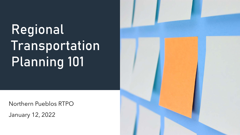# Regional Transportation Planning 101

Northern Pueblos RTPO

January 12, 2022

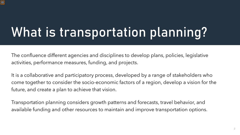# What is transportation planning?

The confluence different agencies and disciplines to develop plans, policies, legislative activities, performance measures, funding, and projects.

It is a collaborative and participatory process, developed by a range of stakeholders who come together to consider the socio-economic factors of a region, develop a vision for the future, and create a plan to achieve that vision.

Transportation planning considers growth patterns and forecasts, travel behavior, and available funding and other resources to maintain and improve transportation options.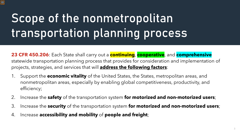### Scope of the nonmetropolitan transportation planning process

**23 CFR 450.206**: Each State shall carry out a **continuing**, **cooperative**, and **comprehensive** statewide transportation planning process that provides for consideration and implementation of projects, strategies, and services that will **address the following factors**:

- 1. Support the **economic vitality** of the United States, the States, metropolitan areas, and nonmetropolitan areas, especially by enabling global competitiveness, productivity, and efficiency;
- 2. Increase the **safety** of the transportation system **for motorized and non-motorized users**;
- 3. Increase the **security** of the transportation system **for motorized and non-motorized users**;
- 4. Increase **accessibility and mobility** of **people and freight**;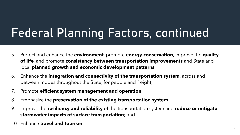### Federal Planning Factors, continued

- 5. Protect and enhance the **environment**, promote **energy conservation**, improve the **quality of life**, and promote **consistency between transportation improvements** and State and local **planned growth and economic development patterns**;
- 6. Enhance the **integration and connectivity of the transportation system**, across and between modes throughout the State, for people and freight;
- 7. Promote **efficient system management and operation**;
- 8. Emphasize the **preservation of the existing transportation system**;
- 9. Improve the **resiliency and reliability** of the transportation system and **reduce or mitigate stormwater impacts of surface transportation**; and
- 10. Enhance **travel and tourism**. 4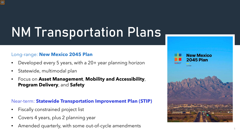## NM Transportation Plans

#### Long-range: **New Mexico 2045 Plan**

- Developed every 5 years, with a 20+ year planning horizon
- Statewide, multimodal plan
- Focus on **Asset Management**, **Mobility and Accessibility**, **Program Delivery**, and **Safety**

#### Near-term: **Statewide Transportation Improvement Plan (STIP)**

- Fiscally constrained project list
- Covers 4 years, plus 2 planning year
- Amended quarterly, with some out-of-cycle amendments 5

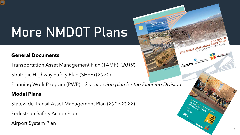# More NMDOT Plans

#### **General Documents**

Transportation Asset Management Plan (TAMP) (*2019*)

Strategic Highway Safety Plan (SHSP) (*2021*)

Planning Work Program (PWP) – *2-year action plan for the Planning Division*

#### **Modal Plans**

Statewide Transit Asset Management Plan (*2019-2022*)

Pedestrian Safety Action Plan

Airport System Plan

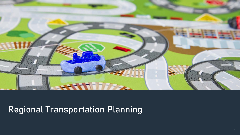

### Regional Transportation Planning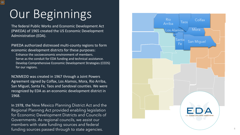$\overline{\mathcal{D}}$ 

The federal Public Works and Economic Development Act (PWEDA) of 1965 created the US Economic Development Administration (EDA).

PWEDA authorized distressed multi -county regions to form economic development districts for these purposes: Enhance the socioeconomic environment of members.

Serve as the conduit for EDA funding and technical assistance. Develop Comprehensive Economic Development Strategies (CEDS) for our regions.

NCNMEDD was created in 1967 through a Joint Powers Agreement signed by Colfax, Los Alamos, Mora, Rio Arriba, San Miguel, Santa Fe, Taos and Sandoval counties. We were recognized by EDA as an economic development district in 1968.

In 1978, the New Mexico Planning District Act and the Regional Planning Act provided enabling legislation for Economic Development Districts and Councils of Governments. As regional councils, we assist our members with state funding sources and federal funding sources passed through to state agencies.

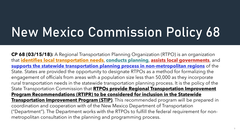# New Mexico Commission Policy 68

**CP 68 (03/15/18):** A Regional Transportation Planning Organization (RTPO) is an organization that **identifies local transportation needs**, **conducts planning**, **assists local governments**, and **supports the statewide transportation planning process in non-metropolitan regions** of the State. States are provided the opportunity to designate RTPOs as a method for formalizing the engagement of officials from areas with a population size less than 50,000 as they incorporate rural transportation needs in the statewide transportation planning process. It is the policy of the State Transportation Commission that **RTPOs provide Regional Transportation Improvement Program Recommendations (RTIPR) to be considered for inclusion in the Statewide Transportation Improvement Program (STIP)**. This recommended program will be prepared in coordination and cooperation with of the New Mexico Department of Transportation ("Department"). The Department works with the RTPOs to fulfill the federal requirement for nonmetropolitan consultation in the planning and programming process.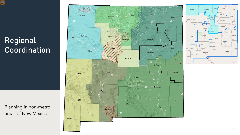

### Regional Coordination

Planning in non -metro areas of New Mexico



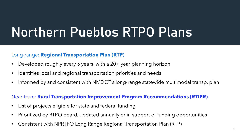## Northern Pueblos RTPO Plans

#### Long-range: **Regional Transportation Plan (RTP)**

- Developed roughly every 5 years, with a 20+ year planning horizon
- Identifies local and regional transportation priorities and needs
- Informed by and consistent with NMDOT's long-range statewide multimodal transp. plan

#### Near-term: **Rural Transportation Improvement Program Recommendations (RTIPR)**

- List of projects eligible for state and federal funding
- Prioritized by RTPO board, updated annually or in support of funding opportunities
- Consistent with NPRTPO Long Range Regional Transportation Plan (RTP)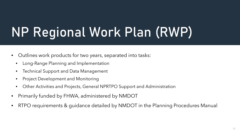# NP Regional Work Plan (RWP)

- Outlines work products for two years, separated into tasks:
	- Long-Range Planning and Implementation
	- Technical Support and Data Management
	- Project Development and Monitoring
	- Other Activities and Projects, General NPRTPO Support and Administration
- Primarily funded by FHWA, administered by NMDOT
- RTPO requirements & guidance detailed by NMDOT in the Planning Procedures Manual